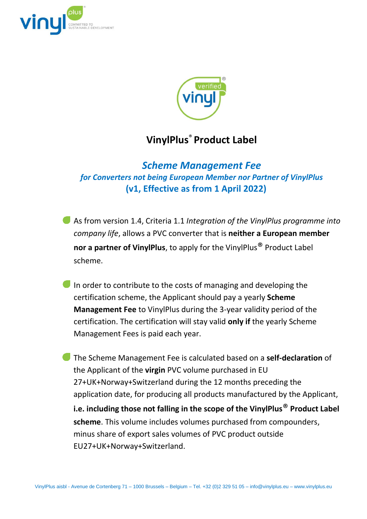



## **VinylPlus**® **Product Label**

*Scheme Management Fee for Converters not being European Member nor Partner of VinylPlus* **(v1, Effective as from 1 April 2022)**

- As from version 1.4, Criteria 1.1 *Integration of the VinylPlus programme into company life*, allows a PVC converter that is **neither a European member nor a partner of VinylPlus**, to apply for the VinylPlus® Product Label scheme.
- In order to contribute to the costs of managing and developing the certification scheme, the Applicant should pay a yearly **Scheme Management Fee** to VinylPlus during the 3-year validity period of the certification. The certification will stay valid **only if** the yearly Scheme Management Fees is paid each year.
- The Scheme Management Fee is calculated based on a **self-declaration** of the Applicant of the **virgin** PVC volume purchased in EU 27+UK+Norway+Switzerland during the 12 months preceding the application date, for producing all products manufactured by the Applicant, **i.e. including those not falling in the scope of the VinylPlus**® **Product Label scheme**. This volume includes volumes purchased from compounders, minus share of export sales volumes of PVC product outside EU27+UK+Norway+Switzerland.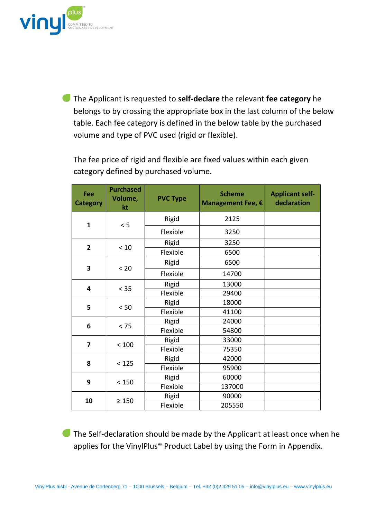

The Applicant is requested to **self-declare** the relevant **fee category** he belongs to by crossing the appropriate box in the last column of the below table. Each fee category is defined in the below table by the purchased volume and type of PVC used (rigid or flexible).

The fee price of rigid and flexible are fixed values within each given category defined by purchased volume.

| Fee<br><b>Category</b>  | <b>Purchased</b><br>Volume,<br>kt | <b>PVC Type</b> | <b>Scheme</b><br>Management Fee, € | <b>Applicant self-</b><br>declaration |
|-------------------------|-----------------------------------|-----------------|------------------------------------|---------------------------------------|
| $\mathbf{1}$            | < 5                               | Rigid           | 2125                               |                                       |
|                         |                                   | Flexible        | 3250                               |                                       |
| $\overline{2}$          | $<10$                             | Rigid           | 3250                               |                                       |
|                         |                                   | Flexible        | 6500                               |                                       |
| 3                       | < 20                              | Rigid           | 6500                               |                                       |
|                         |                                   | Flexible        | 14700                              |                                       |
| $\overline{\mathbf{4}}$ | < 35                              | Rigid           | 13000                              |                                       |
|                         |                                   | Flexible        | 29400                              |                                       |
| 5                       | < 50                              | Rigid           | 18000                              |                                       |
|                         |                                   | Flexible        | 41100                              |                                       |
| 6                       | < 75                              | Rigid           | 24000                              |                                       |
|                         |                                   | Flexible        | 54800                              |                                       |
| 7                       | < 100                             | Rigid           | 33000                              |                                       |
|                         |                                   | Flexible        | 75350                              |                                       |
| 8                       | < 125                             | Rigid           | 42000                              |                                       |
|                         |                                   | Flexible        | 95900                              |                                       |
| 9                       | < 150                             | Rigid           | 60000                              |                                       |
|                         |                                   | Flexible        | 137000                             |                                       |
| 10                      | $\geq 150$                        | Rigid           | 90000                              |                                       |
|                         |                                   | Flexible        | 205550                             |                                       |

The Self-declaration should be made by the Applicant at least once when he applies for the VinylPlus® Product Label by using the Form in Appendix.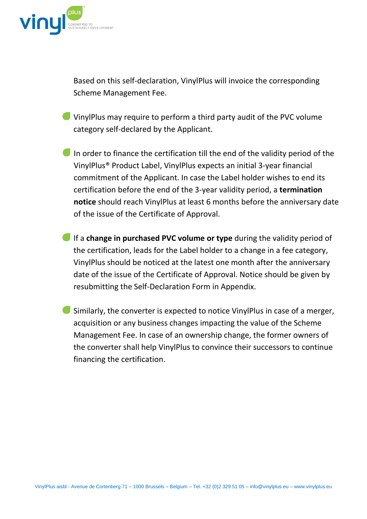

Based on this self-declaration, VinylPlus will invoice the corresponding Scheme Management Fee.

- VinylPlus may require to perform a third party audit of the PVC volume category self-declared by the Applicant.
- In order to finance the certification till the end of the validity period of the VinylPlus® Product Label, VinylPlus expects an initial 3-year financial commitment of the Applicant. In case the Label holder wishes to end its certification before the end of the 3-year validity period, a **termination notice** should reach VinylPlus at least 6 months before the anniversary date of the issue of the Certificate of Approval.
- If a **change in purchased PVC volume or type** during the validity period of the certification, leads for the Label holder to a change in a fee category, VinylPlus should be noticed at the latest one month after the anniversary date of the issue of the Certificate of Approval. Notice should be given by resubmitting the Self-Declaration Form in Appendix.
- Similarly, the converter is expected to notice VinylPlus in case of a merger, acquisition or any business changes impacting the value of the Scheme Management Fee. In case of an ownership change, the former owners of the converter shall help VinylPlus to convince their successors to continue financing the certification.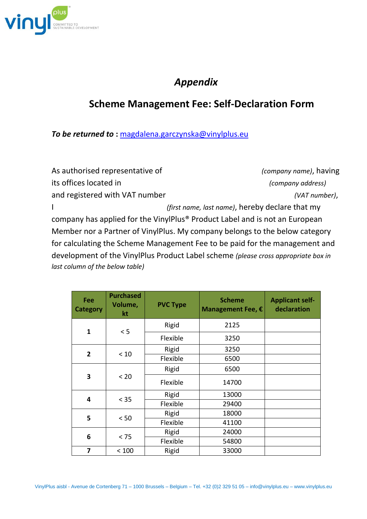

## *Appendix*

## **Scheme Management Fee: Self-Declaration Form**

*To be returned to* **:** [magdalena.garczynska@vinylplus.eu](mailto:magdalena.garczynska@vinylplus.eu)

As authorised representative of *(company name)*, having its offices located in *(company address)* and registered with VAT number *(VAT number)*, I *(first name, last name)*, hereby declare that my company has applied for the VinylPlus® Product Label and is not an European Member nor a Partner of VinylPlus. My company belongs to the below category for calculating the Scheme Management Fee to be paid for the management and development of the VinylPlus Product Label scheme *(please cross appropriate box in last column of the below table)*

| <b>Fee</b><br><b>Category</b> | <b>Purchased</b><br>Volume,<br>kt | <b>PVC Type</b> | <b>Scheme</b><br>Management Fee, € | <b>Applicant self-</b><br>declaration |
|-------------------------------|-----------------------------------|-----------------|------------------------------------|---------------------------------------|
| $\mathbf{1}$                  | < 5                               | Rigid           | 2125                               |                                       |
|                               |                                   | Flexible        | 3250                               |                                       |
| $\overline{2}$                | < 10                              | Rigid           | 3250                               |                                       |
|                               |                                   | Flexible        | 6500                               |                                       |
| 3                             | < 20                              | Rigid           | 6500                               |                                       |
|                               |                                   | Flexible        | 14700                              |                                       |
| 4                             | < 35                              | Rigid           | 13000                              |                                       |
|                               |                                   | Flexible        | 29400                              |                                       |
| 5                             | $< 50$                            | Rigid           | 18000                              |                                       |
|                               |                                   | Flexible        | 41100                              |                                       |
| 6                             | < 75                              | Rigid           | 24000                              |                                       |
|                               |                                   | Flexible        | 54800                              |                                       |
| 7                             | < 100                             | Rigid           | 33000                              |                                       |